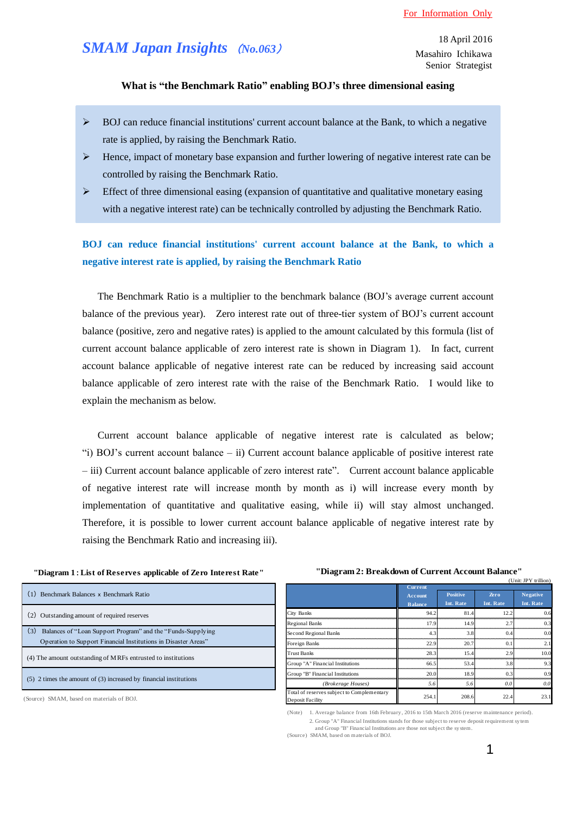# *SMAM Japan Insights* (*No.063*)

## **What is "the Benchmark Ratio" enabling BOJ's three dimensional easing**

- $\triangleright$  BOJ can reduce financial institutions' current account balance at the Bank, to which a negative rate is applied, by raising the Benchmark Ratio.
- $\triangleright$  Hence, impact of monetary base expansion and further lowering of negative interest rate can be controlled by raising the Benchmark Ratio.
- $\triangleright$  Effect of three dimensional easing (expansion of quantitative and qualitative monetary easing with a negative interest rate) can be technically controlled by adjusting the Benchmark Ratio.

## **BOJ can reduce financial institutions' current account balance at the Bank, to which a negative interest rate is applied, by raising the Benchmark Ratio**

The Benchmark Ratio is a multiplier to the benchmark balance (BOJ's average current account balance of the previous year). Zero interest rate out of three-tier system of BOJ's current account balance (positive, zero and negative rates) is applied to the amount calculated by this formula (list of current account balance applicable of zero interest rate is shown in Diagram 1). In fact, current account balance applicable of negative interest rate can be reduced by increasing said account balance applicable of zero interest rate with the raise of the Benchmark Ratio. I would like to explain the mechanism as below.

Current account balance applicable of negative interest rate is calculated as below; "i) BOJ's current account balance – ii) Current account balance applicable of positive interest rate – iii) Current account balance applicable of zero interest rate". Current account balance applicable of negative interest rate will increase month by month as i) will increase every month by implementation of quantitative and qualitative easing, while ii) will stay almost unchanged. Therefore, it is possible to lower current account balance applicable of negative interest rate by raising the Benchmark Ratio and increasing iii).

### **"Diagram 1**:**List of Reserves applicable of Zero Interest Rate" "Diagram 2: Breakdown of Current Account Balance"**

| Benchmark Balances x Benchmark Ratio                                                                                                  |
|---------------------------------------------------------------------------------------------------------------------------------------|
| Outstanding amount of required reserves                                                                                               |
| (3)<br>Balances of "Loan Support Program" and the "Funds-Supplying"<br>Operation to Support Financial Institutions in Disaster Areas" |
| (4) The amount outstanding of MRFs entrusted to institutions                                                                          |
| $(5)$ 2 times the amount of $(3)$ increased by financial institutions                                                                 |

(Source) SMAM, based on materials of BOJ.

|                                                                | (Unit: JPY trillion)                               |                              |                          |                              |
|----------------------------------------------------------------|----------------------------------------------------|------------------------------|--------------------------|------------------------------|
|                                                                | <b>Current</b><br><b>Account</b><br><b>Balance</b> | <b>Positive</b><br>Int. Rate | <b>Zero</b><br>Int. Rate | <b>Negative</b><br>Int. Rate |
| City Banks                                                     | 94.2                                               | 81.4                         | 12.2                     | 0.6                          |
| <b>Regional Banks</b>                                          | 17.9                                               | 14.9                         | 2.7                      | 0.3                          |
| Second Regional Banks                                          | 4.3                                                | 3.8                          | 0.4                      | 0.0                          |
| Foreign Banks                                                  | 22.9                                               | 20.7                         | $^{\circ}$ 1             | 21                           |
| <b>Trust Banks</b>                                             | 28.3                                               | 15.4                         | 2.9                      | 10.0                         |
| Group "A" Financial Institutions                               | 66.5                                               | 53.4                         | 3.8                      | 93                           |
| Group "B" Financial Institutions                               | 20.0                                               | 18.9                         | 0.3                      | 0.9                          |
| (Brokerage Houses)                                             | 5.6                                                | 5.6                          | 0.0                      | 0.0                          |
| Total of reserves subject to Complementary<br>Deposit Facility | 254.1                                              | 208.6                        | 22.4                     | 23.1                         |

<sup>(</sup>Note) 1. Average balance from 16th February, 2016 to 15th March 2016 (reserve maintenance period). 2. Group "A" Financial Institutions stands for those subject to reserve deposit requirement sytem and Group "B" Financial Institutions are those not subject the system.

<sup>(</sup>Source) SMAM, based on materials of BOJ.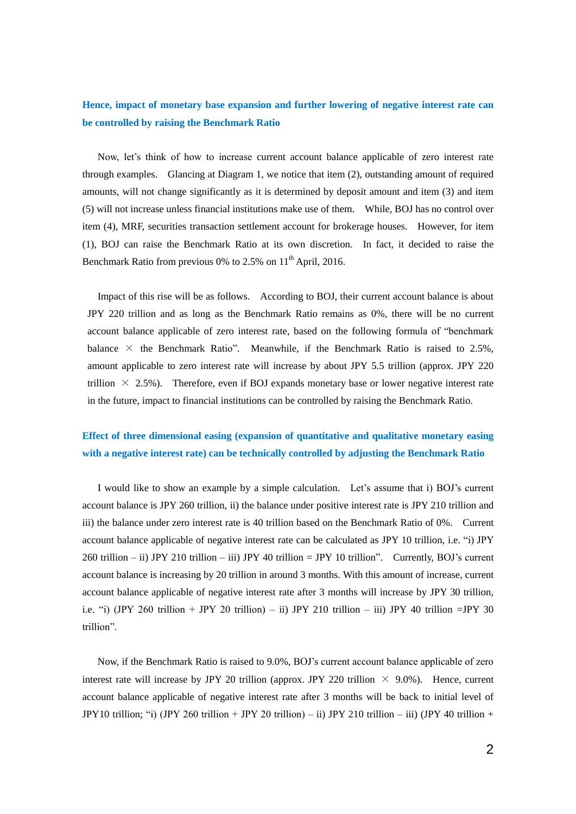## **Hence, impact of monetary base expansion and further lowering of negative interest rate can be controlled by raising the Benchmark Ratio**

Now, let's think of how to increase current account balance applicable of zero interest rate through examples. Glancing at Diagram 1, we notice that item (2), outstanding amount of required amounts, will not change significantly as it is determined by deposit amount and item (3) and item (5) will not increase unless financial institutions make use of them. While, BOJ has no control over item (4), MRF, securities transaction settlement account for brokerage houses. However, for item (1), BOJ can raise the Benchmark Ratio at its own discretion. In fact, it decided to raise the Benchmark Ratio from previous 0% to  $2.5\%$  on  $11<sup>th</sup>$  April, 2016.

 Impact of this rise will be as follows. According to BOJ, their current account balance is about JPY 220 trillion and as long as the Benchmark Ratio remains as 0%, there will be no current account balance applicable of zero interest rate, based on the following formula of "benchmark balance  $\times$  the Benchmark Ratio". Meanwhile, if the Benchmark Ratio is raised to 2.5%, amount applicable to zero interest rate will increase by about JPY 5.5 trillion (approx. JPY 220 trillion  $\times$  2.5%). Therefore, even if BOJ expands monetary base or lower negative interest rate in the future, impact to financial institutions can be controlled by raising the Benchmark Ratio.

## **Effect of three dimensional easing (expansion of quantitative and qualitative monetary easing with a negative interest rate) can be technically controlled by adjusting the Benchmark Ratio**

I would like to show an example by a simple calculation. Let's assume that i) BOJ's current account balance is JPY 260 trillion, ii) the balance under positive interest rate is JPY 210 trillion and iii) the balance under zero interest rate is 40 trillion based on the Benchmark Ratio of 0%. Current account balance applicable of negative interest rate can be calculated as JPY 10 trillion, i.e. "i) JPY 260 trillion – ii) JPY 210 trillion – iii) JPY 40 trillion = JPY 10 trillion". Currently, BOJ's current account balance is increasing by 20 trillion in around 3 months. With this amount of increase, current account balance applicable of negative interest rate after 3 months will increase by JPY 30 trillion, i.e. "i) (JPY 260 trillion + JPY 20 trillion) – ii) JPY 210 trillion – iii) JPY 40 trillion =JPY 30 trillion".

 Now, if the Benchmark Ratio is raised to 9.0%, BOJ's current account balance applicable of zero interest rate will increase by JPY 20 trillion (approx. JPY 220 trillion  $\times$  9.0%). Hence, current account balance applicable of negative interest rate after 3 months will be back to initial level of JPY10 trillion; "i) (JPY 260 trillion + JPY 20 trillion) – ii) JPY 210 trillion – iii) (JPY 40 trillion +